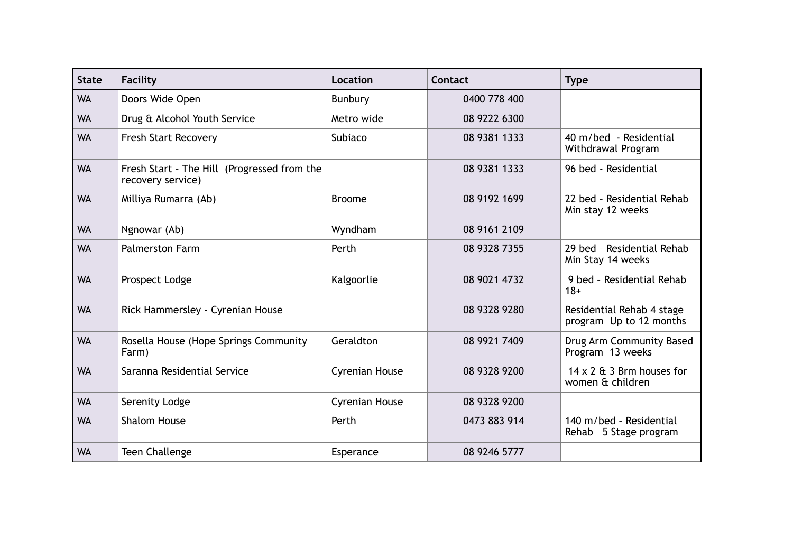| <b>State</b> | Facility                                                         | Location       | Contact      | <b>Type</b>                                          |
|--------------|------------------------------------------------------------------|----------------|--------------|------------------------------------------------------|
| <b>WA</b>    | Doors Wide Open                                                  | Bunbury        | 0400 778 400 |                                                      |
| <b>WA</b>    | Drug & Alcohol Youth Service                                     | Metro wide     | 08 9222 6300 |                                                      |
| <b>WA</b>    | <b>Fresh Start Recovery</b>                                      | Subiaco        | 08 9381 1333 | 40 m/bed - Residential<br>Withdrawal Program         |
| <b>WA</b>    | Fresh Start - The Hill (Progressed from the<br>recovery service) |                | 08 9381 1333 | 96 bed - Residential                                 |
| <b>WA</b>    | Milliya Rumarra (Ab)                                             | <b>Broome</b>  | 08 9192 1699 | 22 bed - Residential Rehab<br>Min stay 12 weeks      |
| <b>WA</b>    | Ngnowar (Ab)                                                     | Wyndham        | 08 9161 2109 |                                                      |
| <b>WA</b>    | <b>Palmerston Farm</b>                                           | Perth          | 08 9328 7355 | 29 bed - Residential Rehab<br>Min Stay 14 weeks      |
| <b>WA</b>    | Prospect Lodge                                                   | Kalgoorlie     | 08 9021 4732 | 9 bed - Residential Rehab<br>$18+$                   |
| <b>WA</b>    | Rick Hammersley - Cyrenian House                                 |                | 08 9328 9280 | Residential Rehab 4 stage<br>program Up to 12 months |
| <b>WA</b>    | Rosella House (Hope Springs Community<br>Farm)                   | Geraldton      | 08 9921 7409 | Drug Arm Community Based<br>Program 13 weeks         |
| <b>WA</b>    | Saranna Residential Service                                      | Cyrenian House | 08 9328 9200 | $14 \times 2$ & 3 Brm houses for<br>women & children |
| <b>WA</b>    | Serenity Lodge                                                   | Cyrenian House | 08 9328 9200 |                                                      |
| <b>WA</b>    | <b>Shalom House</b>                                              | Perth          | 0473 883 914 | 140 m/bed - Residential<br>Rehab 5 Stage program     |
| <b>WA</b>    | <b>Teen Challenge</b>                                            | Esperance      | 08 9246 5777 |                                                      |